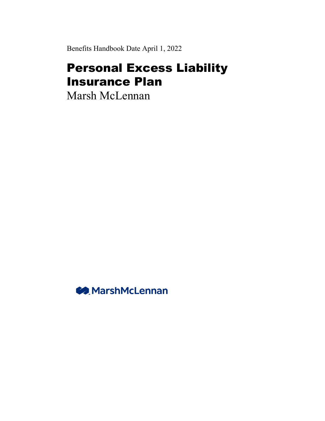Benefits Handbook Date April 1, 2022

# Personal Excess Liability Insurance Plan

Marsh McLennan

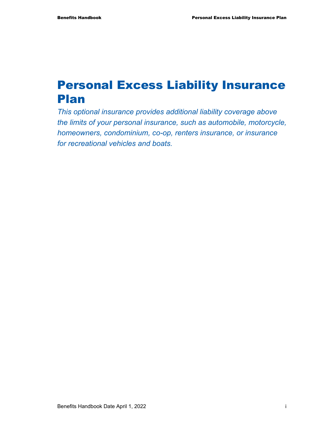# Personal Excess Liability Insurance Plan

*This optional insurance provides additional liability coverage above the limits of your personal insurance, such as automobile, motorcycle, homeowners, condominium, co-op, renters insurance, or insurance for recreational vehicles and boats.*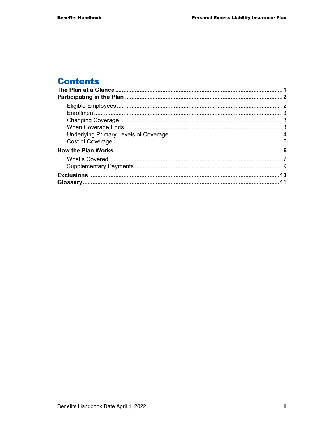## **Contents**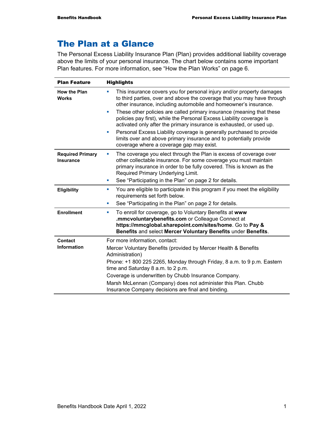## The Plan at a Glance

The Personal Excess Liability Insurance Plan (Plan) provides additional liability coverage above the limits of your personal insurance. The chart below contains some important Plan features. For more information, see "How the Plan Works" on page 6.

| <b>Plan Feature</b>                         | <b>Highlights</b>                                                                                                                                                                                                                                                                                                   |  |
|---------------------------------------------|---------------------------------------------------------------------------------------------------------------------------------------------------------------------------------------------------------------------------------------------------------------------------------------------------------------------|--|
| <b>How the Plan</b><br><b>Works</b>         | This insurance covers you for personal injury and/or property damages<br>×<br>to third parties, over and above the coverage that you may have through<br>other insurance, including automobile and homeowner's insurance.<br>These other policies are called primary insurance (meaning that these<br>u,            |  |
|                                             | policies pay first), while the Personal Excess Liability coverage is<br>activated only after the primary insurance is exhausted, or used up.<br>Personal Excess Liability coverage is generally purchased to provide<br>×                                                                                           |  |
|                                             | limits over and above primary insurance and to potentially provide<br>coverage where a coverage gap may exist.                                                                                                                                                                                                      |  |
| <b>Required Primary</b><br><b>Insurance</b> | The coverage you elect through the Plan is excess of coverage over<br>other collectable insurance. For some coverage you must maintain<br>primary insurance in order to be fully covered. This is known as the<br>Required Primary Underlying Limit.<br>See "Participating in the Plan" on page 2 for details.<br>ш |  |
| Eligibility                                 | You are eligible to participate in this program if you meet the eligibility<br>×<br>requirements set forth below.                                                                                                                                                                                                   |  |
|                                             | See "Participating in the Plan" on page 2 for details.<br>ш                                                                                                                                                                                                                                                         |  |
| <b>Enrollment</b>                           | To enroll for coverage, go to Voluntary Benefits at www<br>u,<br>.mmcvoluntarybenefits.com or Colleague Connect at<br>https://mmcglobal.sharepoint.com/sites/home. Go to Pay &<br>Benefits and select Mercer Voluntary Benefits under Benefits.                                                                     |  |
| <b>Contact</b>                              | For more information, contact:                                                                                                                                                                                                                                                                                      |  |
| <b>Information</b>                          | Mercer Voluntary Benefits (provided by Mercer Health & Benefits                                                                                                                                                                                                                                                     |  |
|                                             | Administration)<br>Phone: +1 800 225 2265, Monday through Friday, 8 a.m. to 9 p.m. Eastern<br>time and Saturday 8 a.m. to 2 p.m.                                                                                                                                                                                    |  |
|                                             |                                                                                                                                                                                                                                                                                                                     |  |
|                                             | Coverage is underwritten by Chubb Insurance Company.                                                                                                                                                                                                                                                                |  |
|                                             | Marsh McLennan (Company) does not administer this Plan. Chubb<br>Insurance Company decisions are final and binding.                                                                                                                                                                                                 |  |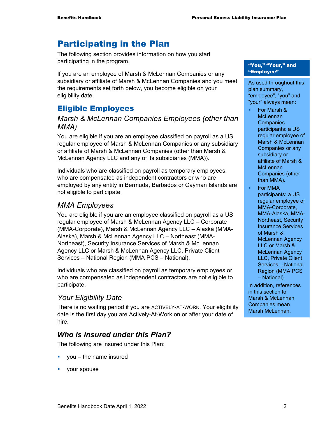## Participating in the Plan

The following section provides information on how you start participating in the program.

If you are an employee of Marsh & McLennan Companies or any subsidiary or affiliate of Marsh & McLennan Companies and you meet the requirements set forth below, you become eligible on your eligibility date.

## Eligible Employees

#### *Marsh & McLennan Companies Employees (other than MMA)*

You are eligible if you are an employee classified on payroll as a US regular employee of Marsh & McLennan Companies or any subsidiary or affiliate of Marsh & McLennan Companies (other than Marsh & McLennan Agency LLC and any of its subsidiaries (MMA)).

Individuals who are classified on payroll as temporary employees, who are compensated as independent contractors or who are employed by any entity in Bermuda, Barbados or Cayman Islands are not eligible to participate.

#### *MMA Employees*

You are eligible if you are an employee classified on payroll as a US regular employee of Marsh & McLennan Agency LLC – Corporate (MMA-Corporate), Marsh & McLennan Agency LLC – Alaska (MMA-Alaska), Marsh & McLennan Agency LLC – Northeast (MMA-Northeast), Security Insurance Services of Marsh & McLennan Agency LLC or Marsh & McLennan Agency LLC, Private Client Services – National Region (MMA PCS – National).

Individuals who are classified on payroll as temporary employees or who are compensated as independent contractors are not eligible to participate.

### *Your Eligibility Date*

There is no waiting period if you are ACTIVELY-AT-WORK. Your eligibility date is the first day you are Actively-At-Work on or after your date of hire.

### *Who is insured under this Plan?*

The following are insured under this Plan:

- you the name insured
- your spouse

#### "You," "Your," and "Employee"

As used throughout this plan summary, "employee", "you" and "your" always mean:

- For Marsh & **McLennan Companies** participants: a US regular employee of Marsh & McLennan Companies or any subsidiary or affiliate of Marsh & **McLennan** Companies (other than MMA).
- **For MMA** participants: a US regular employee of MMA-Corporate, MMA-Alaska, MMA-Northeast, Security Insurance Services of Marsh & McLennan Agency LLC or Marsh & McLennan Agency LLC, Private Client Services – National Region (MMA PCS – National).

In addition, references in this section to Marsh & McLennan Companies mean Marsh McLennan.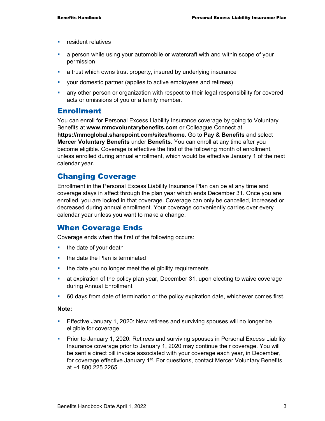- **F** resident relatives
- a person while using your automobile or watercraft with and within scope of your permission
- **a** trust which owns trust property, insured by underlying insurance
- your domestic partner (applies to active employees and retirees)
- any other person or organization with respect to their legal responsibility for covered acts or omissions of you or a family member.

#### Enrollment

You can enroll for Personal Excess Liability Insurance coverage by going to Voluntary Benefits at **www.mmcvoluntarybenefits.com** or Colleague Connect at **https://mmcglobal.sharepoint.com/sites/home**. Go to **Pay & Benefits** and select **Mercer Voluntary Benefits** under **Benefits**. You can enroll at any time after you become eligible. Coverage is effective the first of the following month of enrollment, unless enrolled during annual enrollment, which would be effective January 1 of the next calendar year.

#### Changing Coverage

Enrollment in the Personal Excess Liability Insurance Plan can be at any time and coverage stays in affect through the plan year which ends December 31. Once you are enrolled, you are locked in that coverage. Coverage can only be cancelled, increased or decreased during annual enrollment. Your coverage conveniently carries over every calendar year unless you want to make a change.

#### When Coverage Ends

Coverage ends when the first of the following occurs:

- $\blacksquare$  the date of your death
- $\blacksquare$  the date the Plan is terminated
- the date you no longer meet the eligibility requirements
- at expiration of the policy plan year, December 31, upon electing to waive coverage during Annual Enrollment
- 60 days from date of termination or the policy expiration date, whichever comes first.

#### **Note:**

- **Effective January 1, 2020: New retirees and surviving spouses will no longer be** eligible for coverage.
- **Prior to January 1, 2020: Retirees and surviving spouses in Personal Excess Liability** Insurance coverage prior to January 1, 2020 may continue their coverage. You will be sent a direct bill invoice associated with your coverage each year, in December, for coverage effective January 1<sup>st</sup>. For questions, contact Mercer Voluntary Benefits at +1 800 225 2265.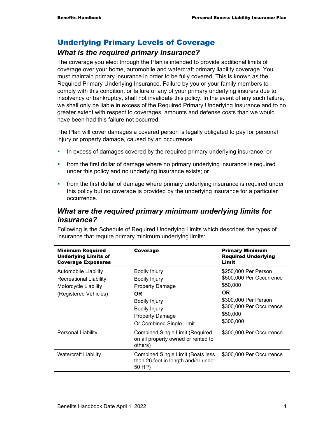## Underlying Primary Levels of Coverage

### *What is the required primary insurance?*

The coverage you elect through the Plan is intended to provide additional limits of coverage over your home, automobile and watercraft primary liability coverage. You must maintain primary insurance in order to be fully covered. This is known as the Required Primary Underlying Insurance. Failure by you or your family members to comply with this condition, or failure of any of your primary underlying insurers due to insolvency or bankruptcy, shall not invalidate this policy. In the event of any such failure, we shall only be liable in excess of the Required Primary Underlying Insurance and to no greater extent with respect to coverages, amounts and defense costs than we would have been had this failure not occurred.

The Plan will cover damages a covered person is legally obligated to pay for personal injury or property damage, caused by an occurrence:

- **IF** In excess of damages covered by the required primary underlying insurance; or
- **from the first dollar of damage where no primary underlying insurance is required** under this policy and no underlying insurance exists; or
- **from the first dollar of damage where primary underlying insurance is required under** this policy but no coverage is provided by the underlying insurance for a particular occurrence.

#### *What are the required primary minimum underlying limits for insurance?*

Following is the Schedule of Required Underlying Limits which describes the types of insurance that require primary minimum underlying limits:

| <b>Minimum Required</b><br><b>Underlying Limits of</b><br><b>Coverage Exposures</b>                    | Coverage                                                                                                                                                                     | <b>Primary Minimum</b><br><b>Required Underlying</b><br>Limit                                                                                          |
|--------------------------------------------------------------------------------------------------------|------------------------------------------------------------------------------------------------------------------------------------------------------------------------------|--------------------------------------------------------------------------------------------------------------------------------------------------------|
| <b>Automobile Liability</b><br>Recreational Liability<br>Motorcycle Liability<br>(Registered Vehicles) | <b>Bodily Injury</b><br><b>Bodily Injury</b><br><b>Property Damage</b><br>OR.<br>Bodily Injury<br><b>Bodily Injury</b><br><b>Property Damage</b><br>Or Combined Single Limit | \$250,000 Per Person<br>\$500,000 Per Occurrence<br>\$50,000<br><b>OR</b><br>\$300,000 Per Person<br>\$300,000 Per Occurrence<br>\$50,000<br>\$300,000 |
| Personal Liability                                                                                     | <b>Combined Single Limit (Required</b><br>on all property owned or rented to<br>others)                                                                                      | \$300,000 Per Occurrence                                                                                                                               |
| <b>Watercraft Liability</b>                                                                            | <b>Combined Single Limit (Boats less)</b><br>than 26 feet in length and/or under<br>50 HP)                                                                                   | \$300,000 Per Occurrence                                                                                                                               |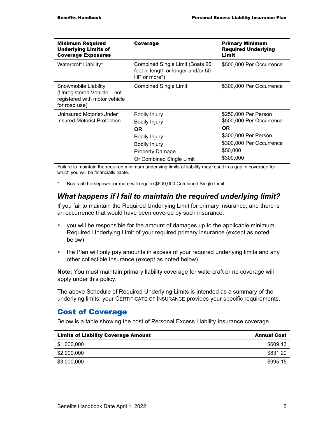| <b>Minimum Required</b><br><b>Underlying Limits of</b><br><b>Coverage Exposures</b>                   | Coverage                                                                                                                                           | <b>Primary Minimum</b><br><b>Required Underlying</b><br>Limit                                                                        |
|-------------------------------------------------------------------------------------------------------|----------------------------------------------------------------------------------------------------------------------------------------------------|--------------------------------------------------------------------------------------------------------------------------------------|
| Watercraft Liability*                                                                                 | Combined Single Limit (Boats 26<br>feet in length or longer and/or 50<br>$HP$ or more <sup>*</sup> )                                               | \$500,000 Per Occurrence                                                                                                             |
| Snowmobile Liability<br>(Unregistered Vehicle – not<br>registered with motor vehicle<br>for road use) | <b>Combined Single Limit</b>                                                                                                                       | \$300,000 Per Occurrence                                                                                                             |
| Uninsured Motorist/Under<br>Insured Motorist Protection                                               | <b>Bodily Injury</b><br>Bodily Injury<br>OR.<br><b>Bodily Injury</b><br><b>Bodily Injury</b><br><b>Property Damage</b><br>Or Combined Single Limit | \$250,000 Per Person<br>\$500,000 Per Occurrence<br>OR.<br>\$300,000 Per Person<br>\$300,000 Per Occurrence<br>\$50,000<br>\$300,000 |

Failure to maintain the required minimum underlying limits of liability may result in a gap in coverage for which you will be financially liable.

\* Boats 50 horsepower or more will require \$500,000 Combined Single Limit.

#### *What happens if I fail to maintain the required underlying limit?*

If you fail to maintain the Required Underlying Limit for primary insurance, and there is an occurrence that would have been covered by such insurance:

- you will be responsible for the amount of damages up to the applicable minimum Required Underlying Limit of your required primary insurance (except as noted below)
- the Plan will only pay amounts in excess of your required underlying limits and any other collectible insurance (except as noted below).

**Note:** You must maintain primary liability coverage for watercraft or no coverage will apply under this policy.

The above Schedule of Required Underlying Limits is intended as a summary of the underlying limits; your CERTIFICATE OF INSURANCE provides your specific requirements.

#### Cost of Coverage

Below is a table showing the cost of Personal Excess Liability Insurance coverage.

| <b>Limits of Liability Coverage Amount</b> | <b>Annual Cost</b> |
|--------------------------------------------|--------------------|
| \$1,000,000                                | \$609.13           |
| \$2,000,000                                | \$831.20           |
| \$3,000,000                                | \$995.15           |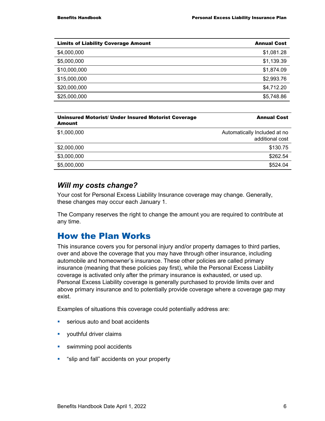| <b>Limits of Liability Coverage Amount</b> | <b>Annual Cost</b> |
|--------------------------------------------|--------------------|
| \$4,000,000                                | \$1,081.28         |
| \$5,000,000                                | \$1,139.39         |
| \$10,000,000                               | \$1,874.09         |
| \$15,000,000                               | \$2,993.76         |
| \$20,000,000                               | \$4,712.20         |
| \$25,000,000                               | \$5,748.86         |

| <b>Uninsured Motorist/ Under Insured Motorist Coverage</b><br>Amount | <b>Annual Cost</b>                              |
|----------------------------------------------------------------------|-------------------------------------------------|
| \$1,000,000                                                          | Automatically Included at no<br>additional cost |
| \$2,000,000                                                          | \$130.75                                        |
| \$3,000,000                                                          | \$262.54                                        |
| \$5,000,000                                                          | \$524.04                                        |

#### *Will my costs change?*

Your cost for Personal Excess Liability Insurance coverage may change. Generally, these changes may occur each January 1.

The Company reserves the right to change the amount you are required to contribute at any time.

## How the Plan Works

This insurance covers you for personal injury and/or property damages to third parties, over and above the coverage that you may have through other insurance, including automobile and homeowner's insurance. These other policies are called primary insurance (meaning that these policies pay first), while the Personal Excess Liability coverage is activated only after the primary insurance is exhausted, or used up. Personal Excess Liability coverage is generally purchased to provide limits over and above primary insurance and to potentially provide coverage where a coverage gap may exist.

Examples of situations this coverage could potentially address are:

- **serious auto and boat accidents**
- **v** youthful driver claims
- **swimming pool accidents**
- **.** "slip and fall" accidents on your property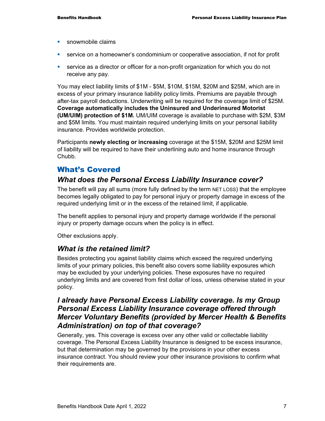- **snowmobile claims**
- service on a homeowner's condominium or cooperative association, if not for profit
- **service as a director or officer for a non-profit organization for which you do not** receive any pay.

You may elect liability limits of \$1M - \$5M, \$10M, \$15M, \$20M and \$25M, which are in excess of your primary insurance liability policy limits. Premiums are payable through after-tax payroll deductions. Underwriting will be required for the coverage limit of \$25M. **Coverage automatically includes the Uninsured and Underinsured Motorist (UM/UIM) protection of \$1M.** UM/UIM coverage is available to purchase with \$2M, \$3M and \$5M limits. You must maintain required underlying limits on your personal liability insurance. Provides worldwide protection.

Participants **newly electing or increasing** coverage at the \$15M, \$20M and \$25M limit of liability will be required to have their underlining auto and home insurance through Chubb.

#### What's Covered

#### *What does the Personal Excess Liability Insurance cover?*

The benefit will pay all sums (more fully defined by the term NET LOSS) that the employee becomes legally obligated to pay for personal injury or property damage in excess of the required underlying limit or in the excess of the retained limit, if applicable.

The benefit applies to personal injury and property damage worldwide if the personal injury or property damage occurs when the policy is in effect.

Other exclusions apply.

#### *What is the retained limit?*

Besides protecting you against liability claims which exceed the required underlying limits of your primary policies, this benefit also covers some liability exposures which may be excluded by your underlying policies. These exposures have no required underlying limits and are covered from first dollar of loss, unless otherwise stated in your policy.

#### *I already have Personal Excess Liability coverage. Is my Group Personal Excess Liability Insurance coverage offered through Mercer Voluntary Benefits (provided by Mercer Health & Benefits Administration) on top of that coverage?*

Generally, yes. This coverage is excess over any other valid or collectable liability coverage. The Personal Excess Liability Insurance is designed to be excess insurance, but that determination may be governed by the provisions in your other excess insurance contract. You should review your other insurance provisions to confirm what their requirements are.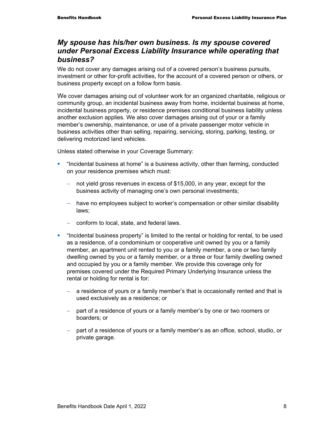#### *My spouse has his/her own business. Is my spouse covered under Personal Excess Liability Insurance while operating that business?*

We do not cover any damages arising out of a covered person's business pursuits, investment or other for-profit activities, for the account of a covered person or others, or business property except on a follow form basis.

We cover damages arising out of volunteer work for an organized charitable, religious or community group, an incidental business away from home, incidental business at home, incidental business property, or residence premises conditional business liability unless another exclusion applies. We also cover damages arising out of your or a family member's ownership, maintenance, or use of a private passenger motor vehicle in business activities other than selling, repairing, servicing, storing, parking, testing, or delivering motorized land vehicles.

Unless stated otherwise in your Coverage Summary:

- **•** "Incidental business at home" is a business activity, other than farming, conducted on your residence premises which must:
	- − not yield gross revenues in excess of \$15,000, in any year, except for the business activity of managing one's own personal investments;
	- − have no employees subject to worker's compensation or other similar disability laws;
	- − conform to local, state, and federal laws.
- "Incidental business property" is limited to the rental or holding for rental, to be used as a residence, of a condominium or cooperative unit owned by you or a family member, an apartment unit rented to you or a family member, a one or two family dwelling owned by you or a family member, or a three or four family dwelling owned and occupied by you or a family member. We provide this coverage only for premises covered under the Required Primary Underlying Insurance unless the rental or holding for rental is for:
	- a residence of yours or a family member's that is occasionally rented and that is used exclusively as a residence; or
	- − part of a residence of yours or a family member's by one or two roomers or boarders; or
	- − part of a residence of yours or a family member's as an office, school, studio, or private garage.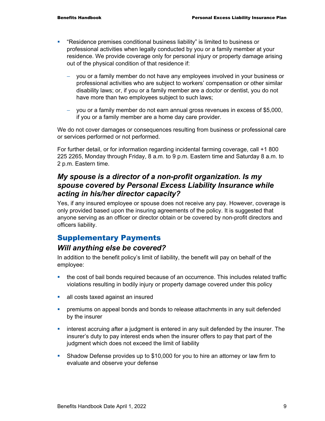- "Residence premises conditional business liability" is limited to business or professional activities when legally conducted by you or a family member at your residence. We provide coverage only for personal injury or property damage arising out of the physical condition of that residence if:
	- you or a family member do not have any employees involved in your business or professional activities who are subject to workers' compensation or other similar disability laws; or, if you or a family member are a doctor or dentist, you do not have more than two employees subject to such laws;
	- − you or a family member do not earn annual gross revenues in excess of \$5,000, if you or a family member are a home day care provider.

We do not cover damages or consequences resulting from business or professional care or services performed or not performed.

For further detail, or for information regarding incidental farming coverage, call +1 800 225 2265, Monday through Friday, 8 a.m. to 9 p.m. Eastern time and Saturday 8 a.m. to 2 p.m. Eastern time.

#### *My spouse is a director of a non-profit organization. Is my spouse covered by Personal Excess Liability Insurance while acting in his/her director capacity?*

Yes, if any insured employee or spouse does not receive any pay. However, coverage is only provided based upon the insuring agreements of the policy. It is suggested that anyone serving as an officer or director obtain or be covered by non-profit directors and officers liability.

## Supplementary Payments

### *Will anything else be covered?*

In addition to the benefit policy's limit of liability, the benefit will pay on behalf of the employee:

- the cost of bail bonds required because of an occurrence. This includes related traffic violations resulting in bodily injury or property damage covered under this policy
- all costs taxed against an insured
- **•** premiums on appeal bonds and bonds to release attachments in any suit defended by the insurer
- **EXECT** interest accruing after a judgment is entered in any suit defended by the insurer. The insurer's duty to pay interest ends when the insurer offers to pay that part of the judgment which does not exceed the limit of liability
- Shadow Defense provides up to \$10,000 for you to hire an attorney or law firm to evaluate and observe your defense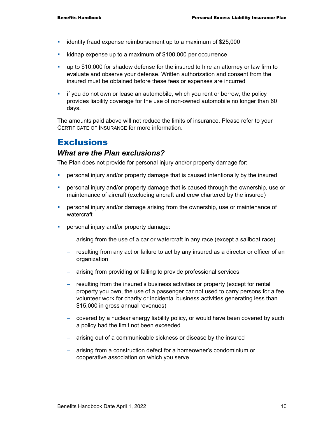- identity fraud expense reimbursement up to a maximum of \$25,000
- **EXECT** kidnap expense up to a maximum of \$100,000 per occurrence
- up to \$10,000 for shadow defense for the insured to hire an attorney or law firm to evaluate and observe your defense. Written authorization and consent from the insured must be obtained before these fees or expenses are incurred
- **i** if you do not own or lease an automobile, which you rent or borrow, the policy provides liability coverage for the use of non-owned automobile no longer than 60 days.

The amounts paid above will not reduce the limits of insurance. Please refer to your CERTIFICATE OF INSURANCE for more information.

## **Exclusions**

#### *What are the Plan exclusions?*

The Plan does not provide for personal injury and/or property damage for:

- personal injury and/or property damage that is caused intentionally by the insured
- personal injury and/or property damage that is caused through the ownership, use or maintenance of aircraft (excluding aircraft and crew chartered by the insured)
- **Part of the Industal injury and/or damage arising from the ownership, use or maintenance of** watercraft
- **Personal injury and/or property damage:** 
	- − arising from the use of a car or watercraft in any race (except a sailboat race)
	- − resulting from any act or failure to act by any insured as a director or officer of an organization
	- − arising from providing or failing to provide professional services
	- − resulting from the insured's business activities or property (except for rental property you own, the use of a passenger car not used to carry persons for a fee, volunteer work for charity or incidental business activities generating less than \$15,000 in gross annual revenues)
	- − covered by a nuclear energy liability policy, or would have been covered by such a policy had the limit not been exceeded
	- − arising out of a communicable sickness or disease by the insured
	- − arising from a construction defect for a homeowner's condominium or cooperative association on which you serve